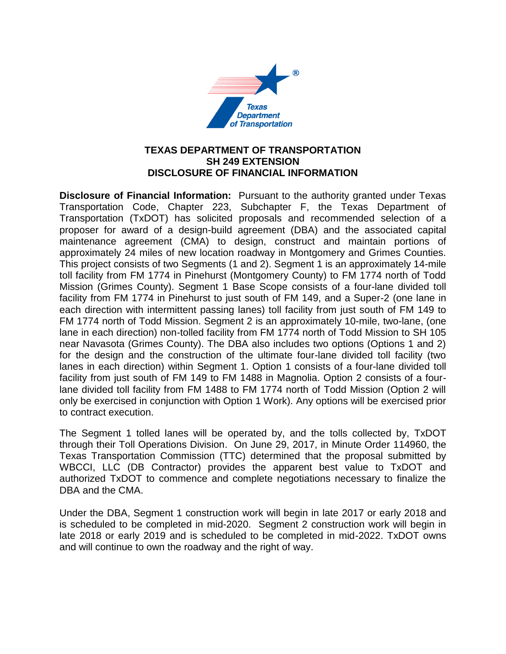

## **TEXAS DEPARTMENT OF TRANSPORTATION SH 249 EXTENSION DISCLOSURE OF FINANCIAL INFORMATION**

**Disclosure of Financial Information:** Pursuant to the authority granted under Texas Transportation Code, Chapter 223, Subchapter F, the Texas Department of Transportation (TxDOT) has solicited proposals and recommended selection of a proposer for award of a design-build agreement (DBA) and the associated capital maintenance agreement (CMA) to design, construct and maintain portions of approximately 24 miles of new location roadway in Montgomery and Grimes Counties. This project consists of two Segments (1 and 2). Segment 1 is an approximately 14-mile toll facility from FM 1774 in Pinehurst (Montgomery County) to FM 1774 north of Todd Mission (Grimes County). Segment 1 Base Scope consists of a four-lane divided toll facility from FM 1774 in Pinehurst to just south of FM 149, and a Super-2 (one lane in each direction with intermittent passing lanes) toll facility from just south of FM 149 to FM 1774 north of Todd Mission. Segment 2 is an approximately 10-mile, two-lane, (one lane in each direction) non-tolled facility from FM 1774 north of Todd Mission to SH 105 near Navasota (Grimes County). The DBA also includes two options (Options 1 and 2) for the design and the construction of the ultimate four-lane divided toll facility (two lanes in each direction) within Segment 1. Option 1 consists of a four-lane divided toll facility from just south of FM 149 to FM 1488 in Magnolia. Option 2 consists of a fourlane divided toll facility from FM 1488 to FM 1774 north of Todd Mission (Option 2 will only be exercised in conjunction with Option 1 Work). Any options will be exercised prior to contract execution.

The Segment 1 tolled lanes will be operated by, and the tolls collected by, TxDOT through their Toll Operations Division. On June 29, 2017, in Minute Order 114960, the Texas Transportation Commission (TTC) determined that the proposal submitted by WBCCI, LLC (DB Contractor) provides the apparent best value to TxDOT and authorized TxDOT to commence and complete negotiations necessary to finalize the DBA and the CMA.

Under the DBA, Segment 1 construction work will begin in late 2017 or early 2018 and is scheduled to be completed in mid-2020. Segment 2 construction work will begin in late 2018 or early 2019 and is scheduled to be completed in mid-2022. TxDOT owns and will continue to own the roadway and the right of way.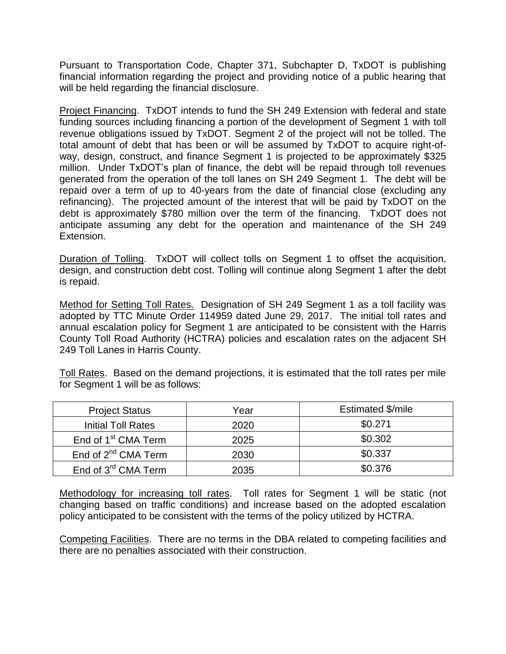Pursuant to Transportation Code, Chapter 371, Subchapter D, TxDOT is publishing financial information regarding the project and providing notice of a public hearing that will be held regarding the financial disclosure.

Project Financing. TxDOT intends to fund the SH 249 Extension with federal and state funding sources including financing a portion of the development of Segment 1 with toll revenue obligations issued by TxDOT. Segment 2 of the project will not be tolled. The total amount of debt that has been or will be assumed by TxDOT to acquire right-ofway, design, construct, and finance Segment 1 is projected to be approximately \$325 million. Under TxDOT's plan of finance, the debt will be repaid through toll revenues generated from the operation of the toll lanes on SH 249 Segment 1. The debt will be repaid over a term of up to 40-years from the date of financial close (excluding any refinancing). The projected amount of the interest that will be paid by TxDOT on the debt is approximately \$780 million over the term of the financing. TxDOT does not anticipate assuming any debt for the operation and maintenance of the SH 249 Extension.

Duration of Tolling. TxDOT will collect tolls on Segment 1 to offset the acquisition, design, and construction debt cost. Tolling will continue along Segment 1 after the debt is repaid.

Method for Setting Toll Rates. Designation of SH 249 Segment 1 as a toll facility was adopted by TTC Minute Order 114959 dated June 29, 2017. The initial toll rates and annual escalation policy for Segment 1 are anticipated to be consistent with the Harris County Toll Road Authority (HCTRA) policies and escalation rates on the adjacent SH 249 Toll Lanes in Harris County.

Toll Rates. Based on the demand projections, it is estimated that the toll rates per mile for Segment 1 will be as follows:

| <b>Project Status</b>           | Year | Estimated \$/mile |
|---------------------------------|------|-------------------|
| <b>Initial Toll Rates</b>       | 2020 | \$0.271           |
| End of 1 <sup>st</sup> CMA Term | 2025 | \$0.302           |
| End of $2^{nd}$ CMA Term        | 2030 | \$0.337           |
| End of 3 <sup>rd</sup> CMA Term | 2035 | \$0.376           |

Methodology for increasing toll rates. Toll rates for Segment 1 will be static (not changing based on traffic conditions) and increase based on the adopted escalation policy anticipated to be consistent with the terms of the policy utilized by HCTRA.

Competing Facilities. There are no terms in the DBA related to competing facilities and there are no penalties associated with their construction.